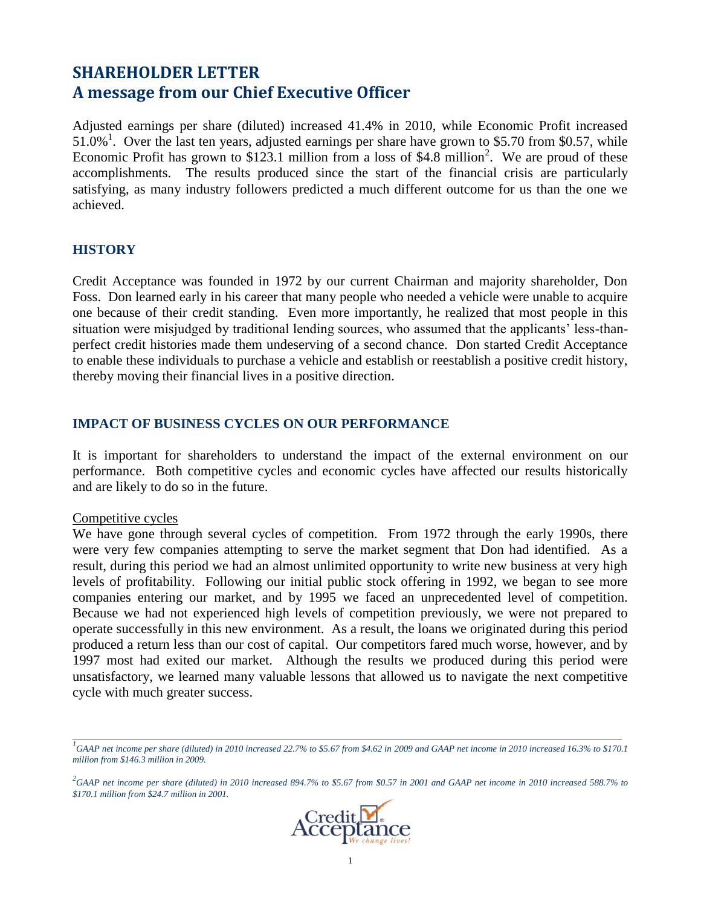# **SHAREHOLDER LETTER A message from our Chief Executive Officer**

Adjusted earnings per share (diluted) increased 41.4% in 2010, while Economic Profit increased  $51.0\%$ <sup>1</sup>. Over the last ten years, adjusted earnings per share have grown to \$5.70 from \$0.57, while Economic Profit has grown to \$123.1 million from a loss of \$4.8 million<sup>2</sup>. We are proud of these accomplishments. The results produced since the start of the financial crisis are particularly satisfying, as many industry followers predicted a much different outcome for us than the one we achieved.

### **HISTORY**

Credit Acceptance was founded in 1972 by our current Chairman and majority shareholder, Don Foss. Don learned early in his career that many people who needed a vehicle were unable to acquire one because of their credit standing. Even more importantly, he realized that most people in this situation were misjudged by traditional lending sources, who assumed that the applicants' less-thanperfect credit histories made them undeserving of a second chance. Don started Credit Acceptance to enable these individuals to purchase a vehicle and establish or reestablish a positive credit history, thereby moving their financial lives in a positive direction.

### **IMPACT OF BUSINESS CYCLES ON OUR PERFORMANCE**

It is important for shareholders to understand the impact of the external environment on our performance. Both competitive cycles and economic cycles have affected our results historically and are likely to do so in the future.

### Competitive cycles

We have gone through several cycles of competition. From 1972 through the early 1990s, there were very few companies attempting to serve the market segment that Don had identified. As a result, during this period we had an almost unlimited opportunity to write new business at very high levels of profitability. Following our initial public stock offering in 1992, we began to see more companies entering our market, and by 1995 we faced an unprecedented level of competition. Because we had not experienced high levels of competition previously, we were not prepared to operate successfully in this new environment. As a result, the loans we originated during this period produced a return less than our cost of capital. Our competitors fared much worse, however, and by 1997 most had exited our market. Although the results we produced during this period were unsatisfactory, we learned many valuable lessons that allowed us to navigate the next competitive cycle with much greater success.

*<sup>2</sup> GAAP net income per share (diluted) in 2010 increased 894.7% to \$5.67 from \$0.57 in 2001 and GAAP net income in 2010 increased 588.7% to \$170.1 million from \$24.7 million in 2001.*



*\_\_\_\_\_\_\_\_\_\_\_\_\_\_\_\_\_\_\_\_\_\_\_\_\_\_\_\_\_\_\_\_\_\_\_\_\_\_\_\_\_\_\_\_\_\_\_\_\_\_\_\_\_\_\_\_\_\_\_\_\_\_\_\_\_\_\_\_\_\_\_\_\_\_\_\_\_\_\_\_\_\_\_\_\_\_\_\_\_\_\_\_\_\_\_\_\_\_\_\_\_\_\_\_\_\_\_\_\_\_\_\_\_\_\_\_\_\_\_\_ 1 GAAP net income per share (diluted) in 2010 increased 22.7% to \$5.67 from \$4.62 in 2009 and GAAP net income in 2010 increased 16.3% to \$170.1 million from \$146.3 million in 2009.*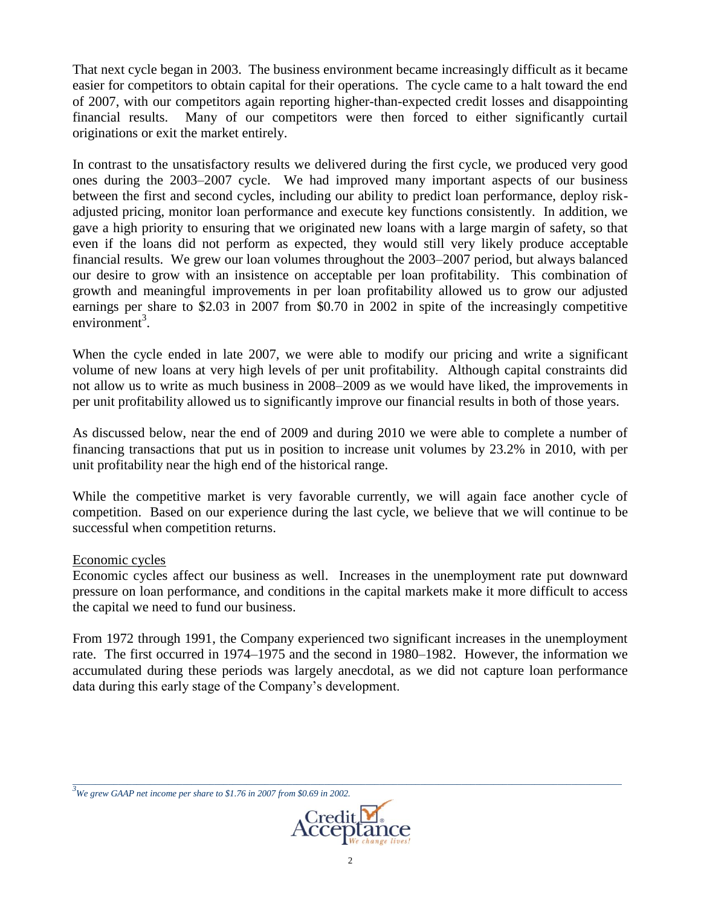That next cycle began in 2003. The business environment became increasingly difficult as it became easier for competitors to obtain capital for their operations. The cycle came to a halt toward the end of 2007, with our competitors again reporting higher-than-expected credit losses and disappointing financial results. Many of our competitors were then forced to either significantly curtail originations or exit the market entirely.

In contrast to the unsatisfactory results we delivered during the first cycle, we produced very good ones during the 2003–2007 cycle. We had improved many important aspects of our business between the first and second cycles, including our ability to predict loan performance, deploy riskadjusted pricing, monitor loan performance and execute key functions consistently. In addition, we gave a high priority to ensuring that we originated new loans with a large margin of safety, so that even if the loans did not perform as expected, they would still very likely produce acceptable financial results. We grew our loan volumes throughout the 2003–2007 period, but always balanced our desire to grow with an insistence on acceptable per loan profitability. This combination of growth and meaningful improvements in per loan profitability allowed us to grow our adjusted earnings per share to \$2.03 in 2007 from \$0.70 in 2002 in spite of the increasingly competitive  $environment<sup>3</sup>$ .

When the cycle ended in late 2007, we were able to modify our pricing and write a significant volume of new loans at very high levels of per unit profitability. Although capital constraints did not allow us to write as much business in 2008–2009 as we would have liked, the improvements in per unit profitability allowed us to significantly improve our financial results in both of those years.

As discussed below, near the end of 2009 and during 2010 we were able to complete a number of financing transactions that put us in position to increase unit volumes by 23.2% in 2010, with per unit profitability near the high end of the historical range.

While the competitive market is very favorable currently, we will again face another cycle of competition. Based on our experience during the last cycle, we believe that we will continue to be successful when competition returns.

### Economic cycles

Economic cycles affect our business as well. Increases in the unemployment rate put downward pressure on loan performance, and conditions in the capital markets make it more difficult to access the capital we need to fund our business.

From 1972 through 1991, the Company experienced two significant increases in the unemployment rate. The first occurred in 1974–1975 and the second in 1980–1982. However, the information we accumulated during these periods was largely anecdotal, as we did not capture loan performance data during this early stage of the Company's development.

*<sup>3</sup>We grew GAAP net income per share to \$1.76 in 2007 from \$0.69 in 2002.*



*\_\_\_\_\_\_\_\_\_\_\_\_\_\_\_\_\_\_\_\_\_\_\_\_\_\_\_\_\_\_\_\_\_\_\_\_\_\_\_\_\_\_\_\_\_\_\_\_\_\_\_\_\_\_\_\_\_\_\_\_\_\_\_\_\_\_\_\_\_\_\_\_\_\_\_\_\_\_\_\_\_\_\_\_\_\_\_\_\_\_\_\_\_\_\_\_\_\_\_\_\_\_\_\_\_\_\_\_\_\_\_\_\_\_\_\_\_\_\_\_*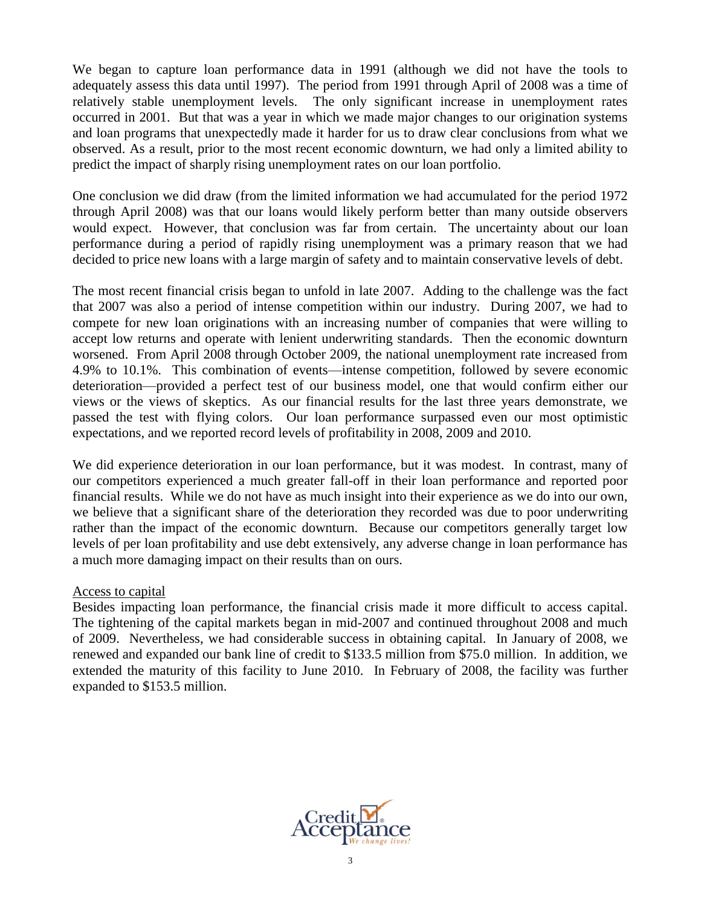We began to capture loan performance data in 1991 (although we did not have the tools to adequately assess this data until 1997). The period from 1991 through April of 2008 was a time of relatively stable unemployment levels. The only significant increase in unemployment rates occurred in 2001. But that was a year in which we made major changes to our origination systems and loan programs that unexpectedly made it harder for us to draw clear conclusions from what we observed. As a result, prior to the most recent economic downturn, we had only a limited ability to predict the impact of sharply rising unemployment rates on our loan portfolio.

One conclusion we did draw (from the limited information we had accumulated for the period 1972 through April 2008) was that our loans would likely perform better than many outside observers would expect. However, that conclusion was far from certain. The uncertainty about our loan performance during a period of rapidly rising unemployment was a primary reason that we had decided to price new loans with a large margin of safety and to maintain conservative levels of debt.

The most recent financial crisis began to unfold in late 2007. Adding to the challenge was the fact that 2007 was also a period of intense competition within our industry. During 2007, we had to compete for new loan originations with an increasing number of companies that were willing to accept low returns and operate with lenient underwriting standards. Then the economic downturn worsened. From April 2008 through October 2009, the national unemployment rate increased from 4.9% to 10.1%. This combination of events—intense competition, followed by severe economic deterioration—provided a perfect test of our business model, one that would confirm either our views or the views of skeptics. As our financial results for the last three years demonstrate, we passed the test with flying colors. Our loan performance surpassed even our most optimistic expectations, and we reported record levels of profitability in 2008, 2009 and 2010.

We did experience deterioration in our loan performance, but it was modest. In contrast, many of our competitors experienced a much greater fall-off in their loan performance and reported poor financial results. While we do not have as much insight into their experience as we do into our own, we believe that a significant share of the deterioration they recorded was due to poor underwriting rather than the impact of the economic downturn. Because our competitors generally target low levels of per loan profitability and use debt extensively, any adverse change in loan performance has a much more damaging impact on their results than on ours.

### Access to capital

Besides impacting loan performance, the financial crisis made it more difficult to access capital. The tightening of the capital markets began in mid-2007 and continued throughout 2008 and much of 2009. Nevertheless, we had considerable success in obtaining capital. In January of 2008, we renewed and expanded our bank line of credit to \$133.5 million from \$75.0 million. In addition, we extended the maturity of this facility to June 2010. In February of 2008, the facility was further expanded to \$153.5 million.

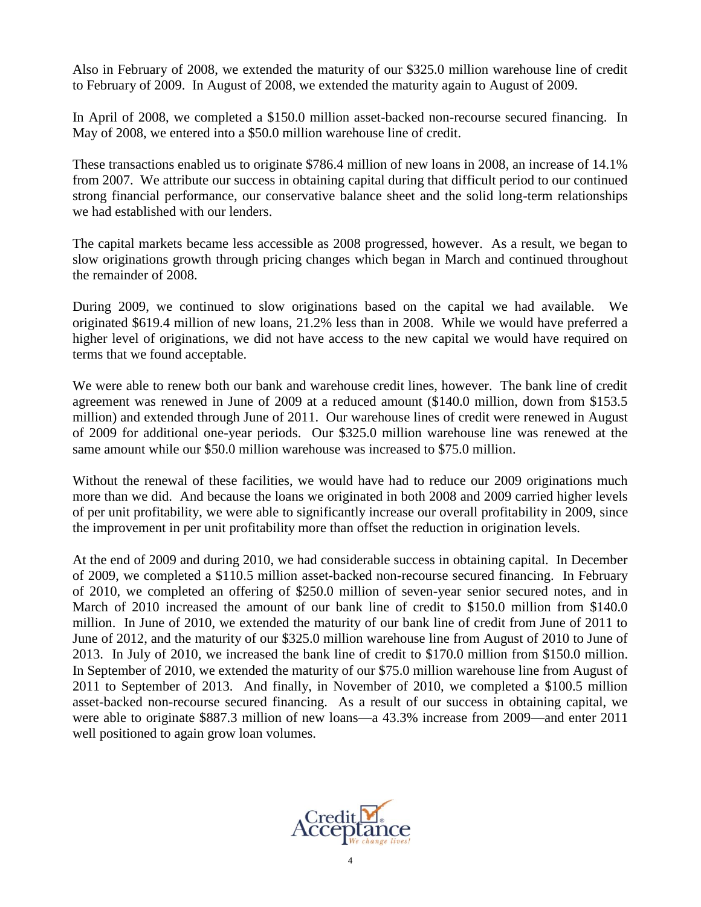Also in February of 2008, we extended the maturity of our \$325.0 million warehouse line of credit to February of 2009. In August of 2008, we extended the maturity again to August of 2009.

In April of 2008, we completed a \$150.0 million asset-backed non-recourse secured financing. In May of 2008, we entered into a \$50.0 million warehouse line of credit.

These transactions enabled us to originate \$786.4 million of new loans in 2008, an increase of 14.1% from 2007. We attribute our success in obtaining capital during that difficult period to our continued strong financial performance, our conservative balance sheet and the solid long-term relationships we had established with our lenders.

The capital markets became less accessible as 2008 progressed, however. As a result, we began to slow originations growth through pricing changes which began in March and continued throughout the remainder of 2008.

During 2009, we continued to slow originations based on the capital we had available. We originated \$619.4 million of new loans, 21.2% less than in 2008. While we would have preferred a higher level of originations, we did not have access to the new capital we would have required on terms that we found acceptable.

We were able to renew both our bank and warehouse credit lines, however. The bank line of credit agreement was renewed in June of 2009 at a reduced amount (\$140.0 million, down from \$153.5 million) and extended through June of 2011. Our warehouse lines of credit were renewed in August of 2009 for additional one-year periods. Our \$325.0 million warehouse line was renewed at the same amount while our \$50.0 million warehouse was increased to \$75.0 million.

Without the renewal of these facilities, we would have had to reduce our 2009 originations much more than we did. And because the loans we originated in both 2008 and 2009 carried higher levels of per unit profitability, we were able to significantly increase our overall profitability in 2009, since the improvement in per unit profitability more than offset the reduction in origination levels.

At the end of 2009 and during 2010, we had considerable success in obtaining capital. In December of 2009, we completed a \$110.5 million asset-backed non-recourse secured financing. In February of 2010, we completed an offering of \$250.0 million of seven-year senior secured notes, and in March of 2010 increased the amount of our bank line of credit to \$150.0 million from \$140.0 million. In June of 2010, we extended the maturity of our bank line of credit from June of 2011 to June of 2012, and the maturity of our \$325.0 million warehouse line from August of 2010 to June of 2013. In July of 2010, we increased the bank line of credit to \$170.0 million from \$150.0 million. In September of 2010, we extended the maturity of our \$75.0 million warehouse line from August of 2011 to September of 2013. And finally, in November of 2010, we completed a \$100.5 million asset-backed non-recourse secured financing. As a result of our success in obtaining capital, we were able to originate \$887.3 million of new loans—a 43.3% increase from 2009—and enter 2011 well positioned to again grow loan volumes.

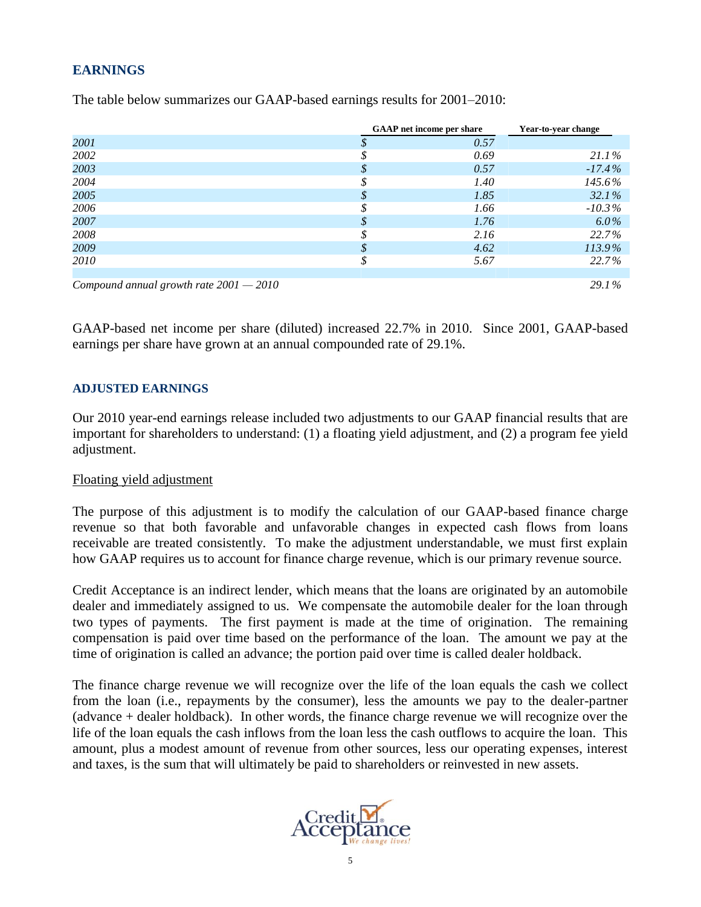# **EARNINGS**

|                                           | <b>GAAP</b> net income per share | Year-to-year change |
|-------------------------------------------|----------------------------------|---------------------|
| 2001                                      | 0.57                             |                     |
| 2002                                      | 0.69                             | $21.1\%$            |
| 2003                                      | 0.57                             | $-17.4%$            |
| 2004                                      | 1.40                             | 145.6%              |
| 2005                                      | 1.85                             | 32.1%               |
| 2006                                      | 1.66                             | $-10.3\%$           |
| 2007                                      | 1.76                             | $6.0\%$             |
| 2008                                      | 2.16                             | 22.7%               |
| 2009                                      | 4.62                             | 113.9%              |
| 2010                                      | 5.67                             | 22.7%               |
|                                           |                                  |                     |
| Compound annual growth rate $2001 - 2010$ |                                  | 29.1%               |

The table below summarizes our GAAP-based earnings results for 2001–2010:

GAAP-based net income per share (diluted) increased 22.7% in 2010. Since 2001, GAAP-based earnings per share have grown at an annual compounded rate of 29.1%.

### **ADJUSTED EARNINGS**

Our 2010 year-end earnings release included two adjustments to our GAAP financial results that are important for shareholders to understand: (1) a floating yield adjustment, and (2) a program fee yield adjustment.

### Floating yield adjustment

The purpose of this adjustment is to modify the calculation of our GAAP-based finance charge revenue so that both favorable and unfavorable changes in expected cash flows from loans receivable are treated consistently. To make the adjustment understandable, we must first explain how GAAP requires us to account for finance charge revenue, which is our primary revenue source.

Credit Acceptance is an indirect lender, which means that the loans are originated by an automobile dealer and immediately assigned to us. We compensate the automobile dealer for the loan through two types of payments. The first payment is made at the time of origination. The remaining compensation is paid over time based on the performance of the loan. The amount we pay at the time of origination is called an advance; the portion paid over time is called dealer holdback.

The finance charge revenue we will recognize over the life of the loan equals the cash we collect from the loan (i.e., repayments by the consumer), less the amounts we pay to the dealer-partner (advance + dealer holdback). In other words, the finance charge revenue we will recognize over the life of the loan equals the cash inflows from the loan less the cash outflows to acquire the loan. This amount, plus a modest amount of revenue from other sources, less our operating expenses, interest and taxes, is the sum that will ultimately be paid to shareholders or reinvested in new assets.

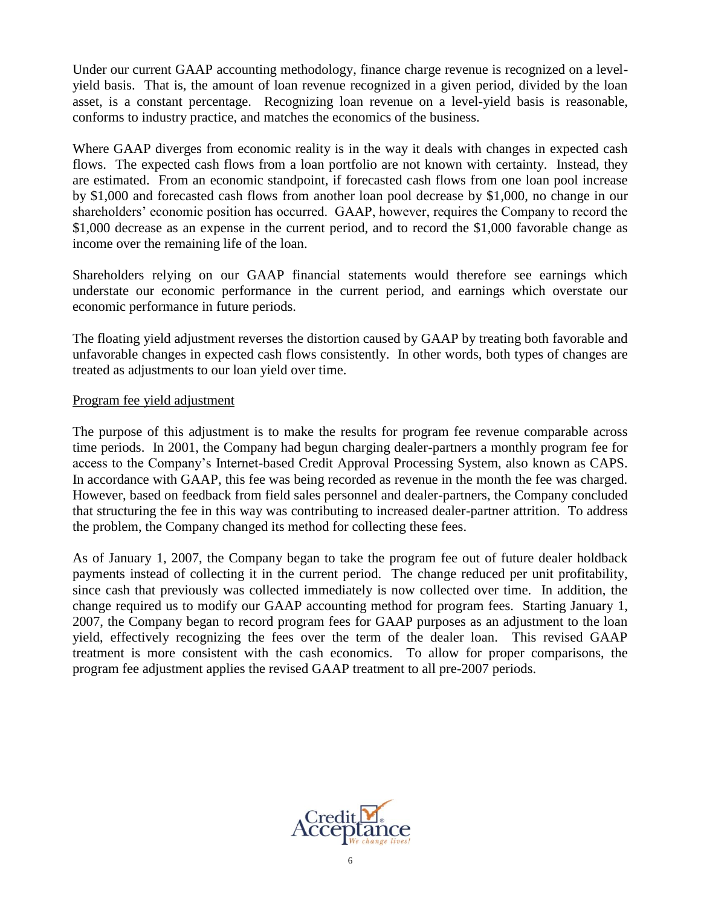Under our current GAAP accounting methodology, finance charge revenue is recognized on a levelyield basis. That is, the amount of loan revenue recognized in a given period, divided by the loan asset, is a constant percentage. Recognizing loan revenue on a level-yield basis is reasonable, conforms to industry practice, and matches the economics of the business.

Where GAAP diverges from economic reality is in the way it deals with changes in expected cash flows. The expected cash flows from a loan portfolio are not known with certainty. Instead, they are estimated. From an economic standpoint, if forecasted cash flows from one loan pool increase by \$1,000 and forecasted cash flows from another loan pool decrease by \$1,000, no change in our shareholders' economic position has occurred. GAAP, however, requires the Company to record the \$1,000 decrease as an expense in the current period, and to record the \$1,000 favorable change as income over the remaining life of the loan.

Shareholders relying on our GAAP financial statements would therefore see earnings which understate our economic performance in the current period, and earnings which overstate our economic performance in future periods.

The floating yield adjustment reverses the distortion caused by GAAP by treating both favorable and unfavorable changes in expected cash flows consistently. In other words, both types of changes are treated as adjustments to our loan yield over time.

### Program fee yield adjustment

The purpose of this adjustment is to make the results for program fee revenue comparable across time periods. In 2001, the Company had begun charging dealer-partners a monthly program fee for access to the Company's Internet-based Credit Approval Processing System, also known as CAPS. In accordance with GAAP, this fee was being recorded as revenue in the month the fee was charged. However, based on feedback from field sales personnel and dealer-partners, the Company concluded that structuring the fee in this way was contributing to increased dealer-partner attrition. To address the problem, the Company changed its method for collecting these fees.

As of January 1, 2007, the Company began to take the program fee out of future dealer holdback payments instead of collecting it in the current period. The change reduced per unit profitability, since cash that previously was collected immediately is now collected over time. In addition, the change required us to modify our GAAP accounting method for program fees. Starting January 1, 2007, the Company began to record program fees for GAAP purposes as an adjustment to the loan yield, effectively recognizing the fees over the term of the dealer loan. This revised GAAP treatment is more consistent with the cash economics. To allow for proper comparisons, the program fee adjustment applies the revised GAAP treatment to all pre-2007 periods.

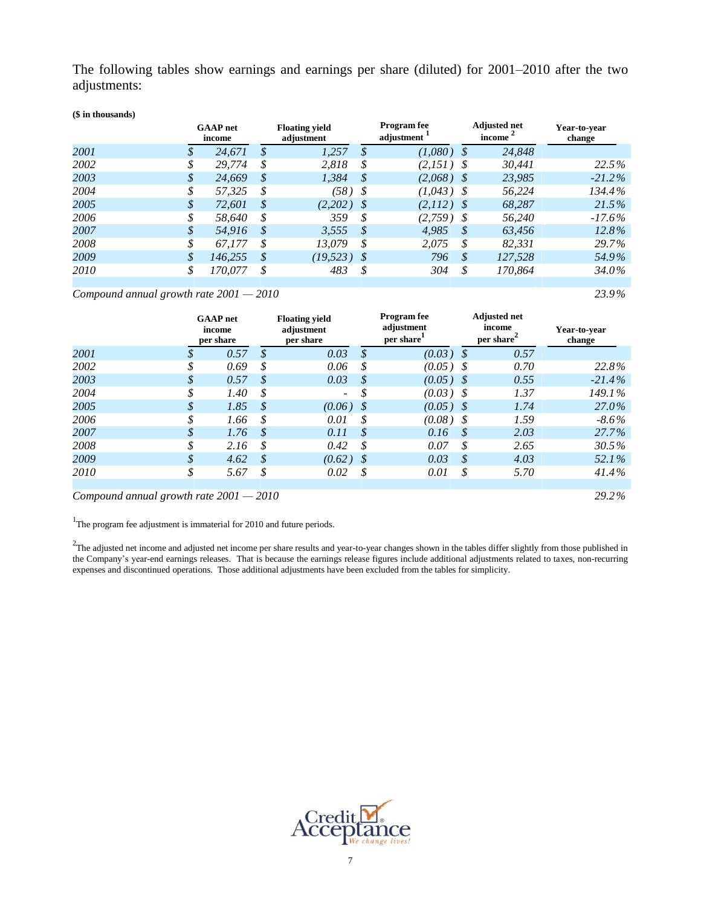The following tables show earnings and earnings per share (diluted) for 2001–2010 after the two adjustments:

#### **(\$ in thousands)**

|      |               | <b>GAAP</b> net<br>income | <b>Floating yield</b><br>adjustment |              | <b>Program</b> fee<br>adjustment |              |          | <b>Adjusted net</b><br>income | Year-to-vear<br>change |
|------|---------------|---------------------------|-------------------------------------|--------------|----------------------------------|--------------|----------|-------------------------------|------------------------|
| 2001 | S             | 24.671                    | $\mathcal{S}$                       | 1,257        | \$                               | (1,080)      | - \$     | 24,848                        |                        |
| 2002 |               | 29,774                    | \$                                  | 2,818        | S                                | $(2,151)$ \$ |          | 30,441                        | 22.5%                  |
| 2003 | \$            | 24,669                    | \$                                  | 1,384        | \$                               | $(2,068)$ \$ |          | 23,985                        | $-21.2\%$              |
| 2004 | \$            | 57,325                    | \$                                  | $(58)$ \$    |                                  | $(1,043)$ \$ |          | 56,224                        | 134.4%                 |
| 2005 | \$            | 72,601                    | \$                                  | $(2,202)$ \$ |                                  | $(2,112)$ \$ |          | 68,287                        | 21.5%                  |
| 2006 |               | 58,640                    | \$                                  | 359          | \$                               | $(2,759)$ \$ |          | 56,240                        | $-17.6\%$              |
| 2007 |               | 54.916                    | \$                                  | 3.555        | \$                               | 4.985        | <b>S</b> | 63.456                        | 12.8%                  |
| 2008 |               | 67.177                    | \$                                  | 13.079       | S                                | 2.075        | S        | 82.331                        | 29.7%                  |
| 2009 | $\mathcal{S}$ | 146.255                   | S                                   | (19, 523)    | S                                | 796          | S        | 127.528                       | 54.9%                  |
| 2010 |               | 170.077                   |                                     | 483          |                                  | 304          | S        | 170.864                       | 34.0%                  |
|      |               |                           |                                     |              |                                  |              |          |                               |                        |

#### *Compound annual growth rate 2001 — 2010 23.9%*

|      |        | <b>GAAP</b> net<br>income<br>per share | <b>Floating yield</b><br>adiustment<br>per share |    | <b>Program</b> fee<br>adjustment<br>per share |                   | <b>Adjusted net</b><br>income<br>per share <sup>-</sup> | Year-to-year<br>change |
|------|--------|----------------------------------------|--------------------------------------------------|----|-----------------------------------------------|-------------------|---------------------------------------------------------|------------------------|
| 2001 | \$     | 0.57                                   | \$<br>0.03                                       | \$ | (0.03)                                        | -\$               | 0.57                                                    |                        |
| 2002 | \$     | 0.69                                   | \$<br>0.06                                       | \$ | $(0.05)$ \$                                   |                   | 0.70                                                    | 22.8%                  |
| 2003 | \$     | 0.57                                   | \$<br>0.03                                       | \$ | (0.05)                                        | - S               | 0.55                                                    | $-21.4\%$              |
| 2004 | \$     | 1.40                                   | \$<br>$\sim$                                     | S  | (0.03)                                        | - S               | 1.37                                                    | 149.1%                 |
| 2005 | \$     | 1.85                                   | \$<br>$(0.06)$ \$                                |    | $(0.05)$ \$                                   |                   | 1.74                                                    | 27.0%                  |
| 2006 | ¢<br>♪ | 1.66                                   | \$<br>0.01                                       | \$ | (0.08)                                        | - S               | 1.59                                                    | $-8.6\%$               |
| 2007 | \$     | 1.76                                   | \$<br>0.11                                       | \$ | 0.16                                          | $\mathcal{S}_{0}$ | 2.03                                                    | $27.7\%$               |
| 2008 | \$     | 2.16                                   | \$<br>0.42                                       | \$ | 0.07                                          | S                 | 2.65                                                    | 30.5%                  |
| 2009 | \$     | 4.62                                   | \$<br>$(0.62)$ \$                                |    | 0.03                                          | $\mathcal{S}_{0}$ | 4.03                                                    | 52.1%                  |
| 2010 | \$     | 5.67                                   | \$<br>0.02                                       | \$ | 0.01                                          | \$                | 5.70                                                    | 41.4%                  |
|      |        |                                        |                                                  |    |                                               |                   |                                                         |                        |

*Compound annual growth rate 2001 — 2010 29.2%*

<sup>1</sup>The program fee adjustment is immaterial for 2010 and future periods.

 $2$ The adjusted net income and adjusted net income per share results and year-to-year changes shown in the tables differ slightly from those published in the Company's year-end earnings releases. That is because the earnings release figures include additional adjustments related to taxes, non-recurring expenses and discontinued operations. Those additional adjustments have been excluded from the tables for simplicity.

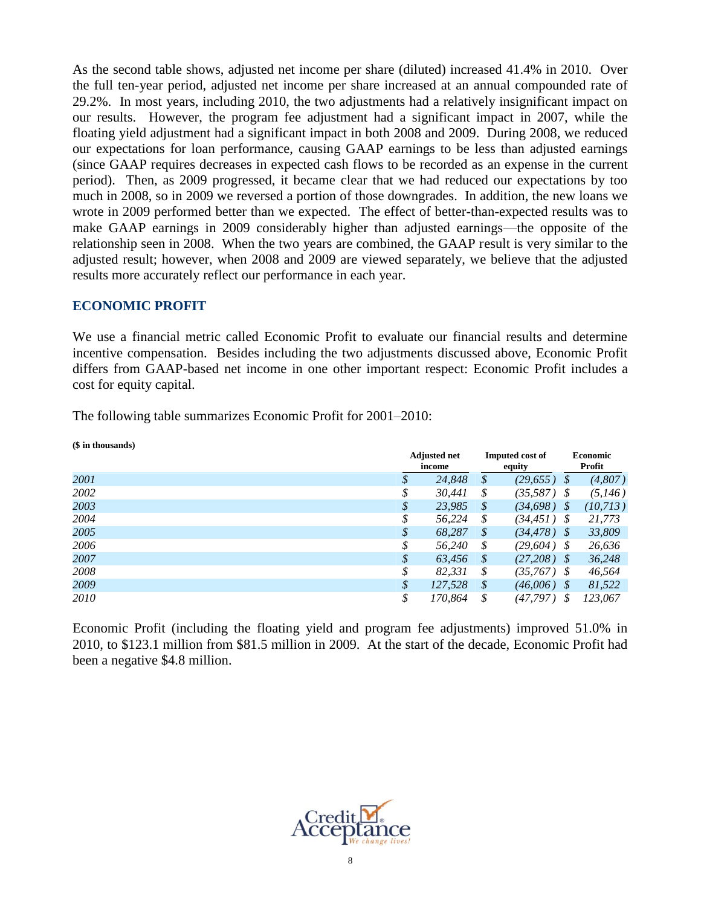As the second table shows, adjusted net income per share (diluted) increased 41.4% in 2010. Over the full ten-year period, adjusted net income per share increased at an annual compounded rate of 29.2%. In most years, including 2010, the two adjustments had a relatively insignificant impact on our results. However, the program fee adjustment had a significant impact in 2007, while the floating yield adjustment had a significant impact in both 2008 and 2009. During 2008, we reduced our expectations for loan performance, causing GAAP earnings to be less than adjusted earnings (since GAAP requires decreases in expected cash flows to be recorded as an expense in the current period). Then, as 2009 progressed, it became clear that we had reduced our expectations by too much in 2008, so in 2009 we reversed a portion of those downgrades. In addition, the new loans we wrote in 2009 performed better than we expected. The effect of better-than-expected results was to make GAAP earnings in 2009 considerably higher than adjusted earnings—the opposite of the relationship seen in 2008. When the two years are combined, the GAAP result is very similar to the adjusted result; however, when 2008 and 2009 are viewed separately, we believe that the adjusted results more accurately reflect our performance in each year.

### **ECONOMIC PROFIT**

We use a financial metric called Economic Profit to evaluate our financial results and determine incentive compensation. Besides including the two adjustments discussed above, Economic Profit differs from GAAP-based net income in one other important respect: Economic Profit includes a cost for equity capital.

The following table summarizes Economic Profit for 2001–2010:

| (\$ in thousands) |               |                               |    |                                  |      |                           |
|-------------------|---------------|-------------------------------|----|----------------------------------|------|---------------------------|
|                   |               | <b>Adjusted net</b><br>income |    | <b>Imputed cost of</b><br>equity |      | <b>Economic</b><br>Profit |
| 2001              | S             | 24,848                        | \$ | (29, 655)                        | - \$ | (4,807)                   |
| 2002              | S             | 30,441                        | \$ | (35,587)                         | - S  | (5,146)                   |
| 2003              | \$            | 23,985                        | \$ | (34,698)                         | - \$ | (10,713)                  |
| 2004              | \$            | 56,224                        | \$ | $(34, 451)$ \$                   |      | 21,773                    |
| 2005              | $\mathcal{S}$ | 68.287                        | S  | (34, 478)                        | - \$ | 33,809                    |
| 2006              | \$            | 56.240                        | S  | (29,604)                         | - S  | 26,636                    |
| 2007              | \$            | 63,456                        | \$ | (27, 208)                        | - \$ | 36,248                    |
| 2008              | \$            | 82,331                        | \$ | $(35,767)$ \$                    |      | 46,564                    |
| 2009              | \$            | 127,528                       | \$ | (46,006)                         | - S  | 81,522                    |
| 2010              | \$            | 170,864                       | \$ | (47,797)                         | S    | 123,067                   |

Economic Profit (including the floating yield and program fee adjustments) improved 51.0% in 2010, to \$123.1 million from \$81.5 million in 2009. At the start of the decade, Economic Profit had been a negative \$4.8 million.

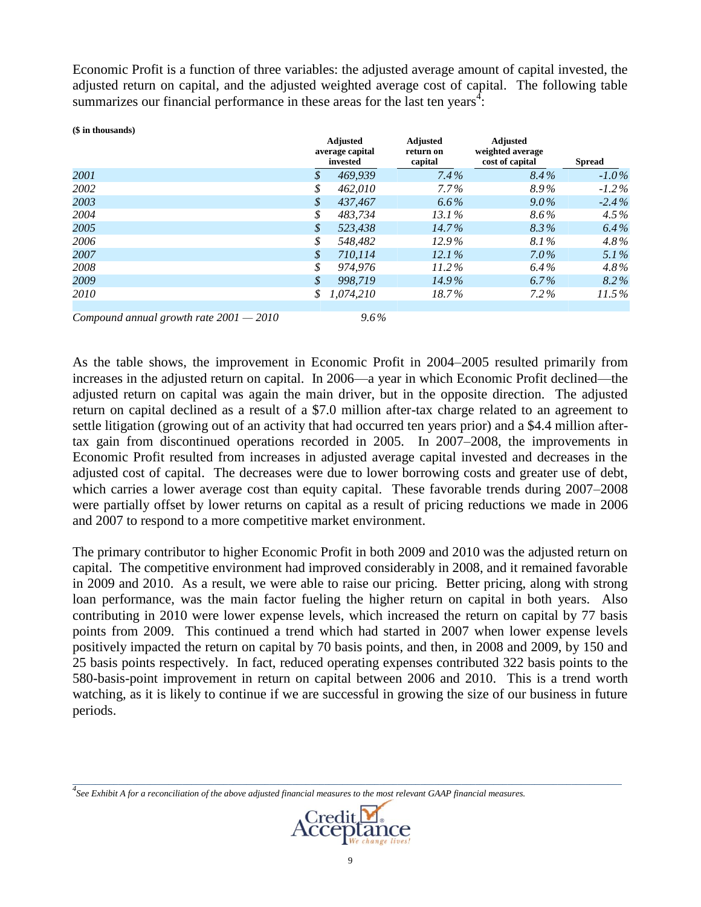Economic Profit is a function of three variables: the adjusted average amount of capital invested, the adjusted return on capital, and the adjusted weighted average cost of capital. The following table summarizes our financial performance in these areas for the last ten years<sup>4</sup>:

| (\$ in thousands) |                            |                                                |                                         |                                                        |               |
|-------------------|----------------------------|------------------------------------------------|-----------------------------------------|--------------------------------------------------------|---------------|
|                   |                            | <b>Adjusted</b><br>average capital<br>invested | <b>Adjusted</b><br>return on<br>capital | <b>Adjusted</b><br>weighted average<br>cost of capital | <b>Spread</b> |
| 2001              | S                          | 469,939                                        | 7.4%                                    | $8.4\%$                                                | $-1.0\%$      |
| 2002              | \$                         | 462,010                                        | $7.7\%$                                 | 8.9%                                                   | $-1.2\%$      |
| 2003              | \$                         | 437.467                                        | $6.6\%$                                 | $9.0\%$                                                | $-2.4\%$      |
| 2004              | \$                         | 483.734                                        | $13.1\%$                                | 8.6%                                                   | $4.5\%$       |
| 2005              | $\boldsymbol{\mathcal{S}}$ | 523.438                                        | $14.7\%$                                | 8.3%                                                   | $6.4\%$       |
| 2006              | \$                         | 548.482                                        | $12.9\%$                                | 8.1%                                                   | $4.8\%$       |
| 2007              | \$                         | 710.114                                        | 12.1%                                   | $7.0\%$                                                | 5.1%          |
| 2008              | \$                         | 974.976                                        | $11.2\%$                                | $6.4\%$                                                | $4.8\%$       |
| 2009              | $\mathcal{S}$              | 998.719                                        | $14.9\%$                                | $6.7\%$                                                | 8.2%          |
| 2010              |                            | 1.074.210                                      | 18.7%                                   | $7.2\%$                                                | 11.5%         |
|                   |                            |                                                |                                         |                                                        |               |

*Compound annual growth rate 2001 — 2010 9.6 %*

As the table shows, the improvement in Economic Profit in 2004–2005 resulted primarily from increases in the adjusted return on capital. In 2006—a year in which Economic Profit declined—the adjusted return on capital was again the main driver, but in the opposite direction. The adjusted return on capital declined as a result of a \$7.0 million after-tax charge related to an agreement to settle litigation (growing out of an activity that had occurred ten years prior) and a \$4.4 million aftertax gain from discontinued operations recorded in 2005. In 2007–2008, the improvements in Economic Profit resulted from increases in adjusted average capital invested and decreases in the adjusted cost of capital. The decreases were due to lower borrowing costs and greater use of debt, which carries a lower average cost than equity capital. These favorable trends during 2007–2008 were partially offset by lower returns on capital as a result of pricing reductions we made in 2006 and 2007 to respond to a more competitive market environment.

The primary contributor to higher Economic Profit in both 2009 and 2010 was the adjusted return on capital. The competitive environment had improved considerably in 2008, and it remained favorable in 2009 and 2010. As a result, we were able to raise our pricing. Better pricing, along with strong loan performance, was the main factor fueling the higher return on capital in both years. Also contributing in 2010 were lower expense levels, which increased the return on capital by 77 basis points from 2009. This continued a trend which had started in 2007 when lower expense levels positively impacted the return on capital by 70 basis points, and then, in 2008 and 2009, by 150 and 25 basis points respectively. In fact, reduced operating expenses contributed 322 basis points to the 580-basis-point improvement in return on capital between 2006 and 2010. This is a trend worth watching, as it is likely to continue if we are successful in growing the size of our business in future periods.

*4 See Exhibit A for a reconciliation of the above adjusted financial measures to the most relevant GAAP financial measures.*



*\_\_\_\_\_\_\_\_\_\_\_\_\_\_\_\_\_\_\_\_\_\_\_\_\_\_\_\_\_\_\_\_\_\_\_\_\_\_\_\_\_\_\_\_\_\_\_\_\_\_\_\_\_\_\_\_\_\_\_\_\_\_\_\_\_\_\_\_\_\_\_\_\_\_\_\_\_\_\_\_\_\_\_\_\_\_\_\_\_\_\_\_\_\_\_\_\_\_\_\_\_\_\_\_\_\_\_\_\_\_\_\_\_\_\_\_\_\_\_\_*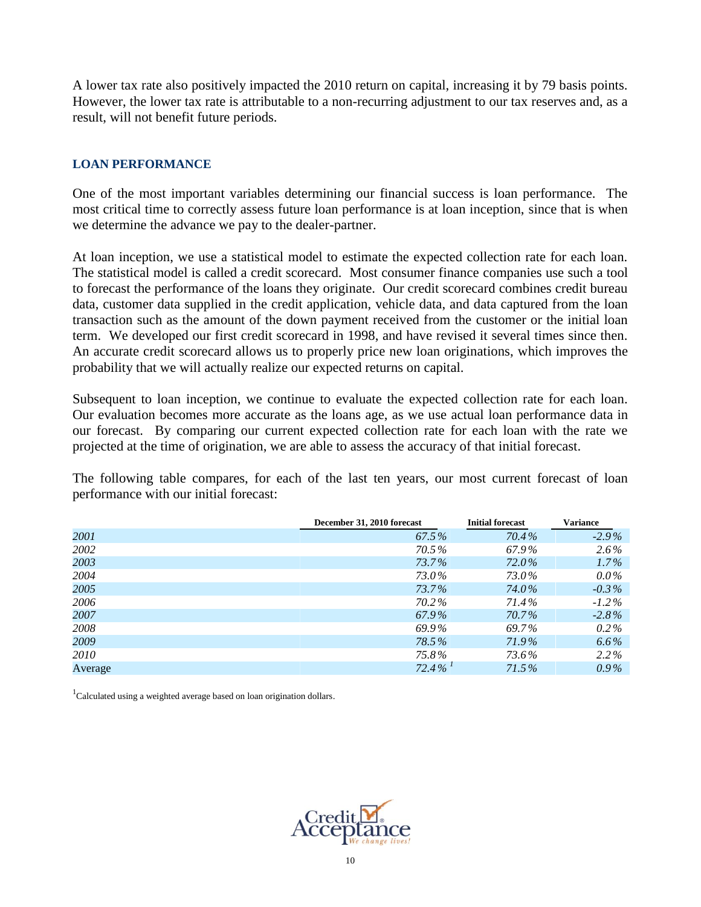A lower tax rate also positively impacted the 2010 return on capital, increasing it by 79 basis points. However, the lower tax rate is attributable to a non-recurring adjustment to our tax reserves and, as a result, will not benefit future periods.

### **LOAN PERFORMANCE**

One of the most important variables determining our financial success is loan performance. The most critical time to correctly assess future loan performance is at loan inception, since that is when we determine the advance we pay to the dealer-partner.

At loan inception, we use a statistical model to estimate the expected collection rate for each loan. The statistical model is called a credit scorecard. Most consumer finance companies use such a tool to forecast the performance of the loans they originate. Our credit scorecard combines credit bureau data, customer data supplied in the credit application, vehicle data, and data captured from the loan transaction such as the amount of the down payment received from the customer or the initial loan term. We developed our first credit scorecard in 1998, and have revised it several times since then. An accurate credit scorecard allows us to properly price new loan originations, which improves the probability that we will actually realize our expected returns on capital.

Subsequent to loan inception, we continue to evaluate the expected collection rate for each loan. Our evaluation becomes more accurate as the loans age, as we use actual loan performance data in our forecast. By comparing our current expected collection rate for each loan with the rate we projected at the time of origination, we are able to assess the accuracy of that initial forecast.

The following table compares, for each of the last ten years, our most current forecast of loan performance with our initial forecast:

|         | December 31, 2010 forecast | <b>Initial forecast</b> | <b>Variance</b> |
|---------|----------------------------|-------------------------|-----------------|
| 2001    | 67.5%                      | 70.4%                   | $-2.9\%$        |
| 2002    | 70.5%                      | 67.9%                   | $2.6\%$         |
| 2003    | 73.7%                      | 72.0%                   | $1.7\%$         |
| 2004    | 73.0%                      | 73.0%                   | $0.0\%$         |
| 2005    | 73.7%                      | 74.0%                   | $-0.3\%$        |
| 2006    | 70.2%                      | 71.4%                   | $-1.2\%$        |
| 2007    | 67.9%                      | 70.7%                   | $-2.8\%$        |
| 2008    | 69.9%                      | 69.7%                   | $0.2\%$         |
| 2009    | 78.5%                      | 71.9%                   | $6.6\%$         |
| 2010    | 75.8%                      | 73.6%                   | 2.2%            |
| Average | $72.4\%$ <sup>1</sup>      | 71.5%                   | $0.9\%$         |

 $1$ Calculated using a weighted average based on loan origination dollars.

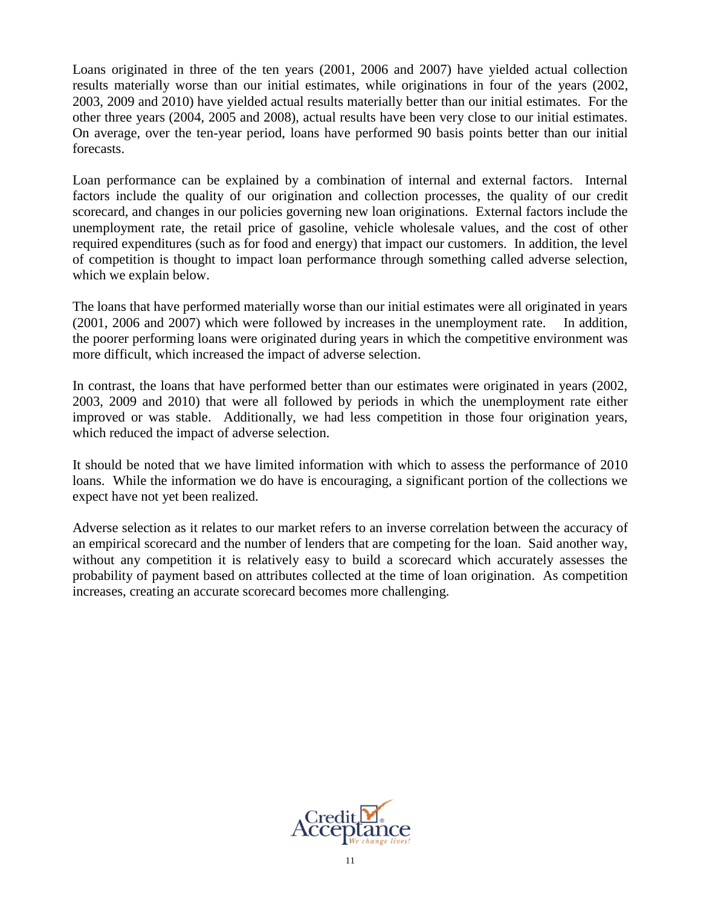Loans originated in three of the ten years (2001, 2006 and 2007) have yielded actual collection results materially worse than our initial estimates, while originations in four of the years (2002, 2003, 2009 and 2010) have yielded actual results materially better than our initial estimates. For the other three years (2004, 2005 and 2008), actual results have been very close to our initial estimates. On average, over the ten-year period, loans have performed 90 basis points better than our initial forecasts.

Loan performance can be explained by a combination of internal and external factors. Internal factors include the quality of our origination and collection processes, the quality of our credit scorecard, and changes in our policies governing new loan originations. External factors include the unemployment rate, the retail price of gasoline, vehicle wholesale values, and the cost of other required expenditures (such as for food and energy) that impact our customers. In addition, the level of competition is thought to impact loan performance through something called adverse selection, which we explain below.

The loans that have performed materially worse than our initial estimates were all originated in years (2001, 2006 and 2007) which were followed by increases in the unemployment rate. In addition, the poorer performing loans were originated during years in which the competitive environment was more difficult, which increased the impact of adverse selection.

In contrast, the loans that have performed better than our estimates were originated in years (2002, 2003, 2009 and 2010) that were all followed by periods in which the unemployment rate either improved or was stable. Additionally, we had less competition in those four origination years, which reduced the impact of adverse selection.

It should be noted that we have limited information with which to assess the performance of 2010 loans. While the information we do have is encouraging, a significant portion of the collections we expect have not yet been realized.

Adverse selection as it relates to our market refers to an inverse correlation between the accuracy of an empirical scorecard and the number of lenders that are competing for the loan. Said another way, without any competition it is relatively easy to build a scorecard which accurately assesses the probability of payment based on attributes collected at the time of loan origination. As competition increases, creating an accurate scorecard becomes more challenging.

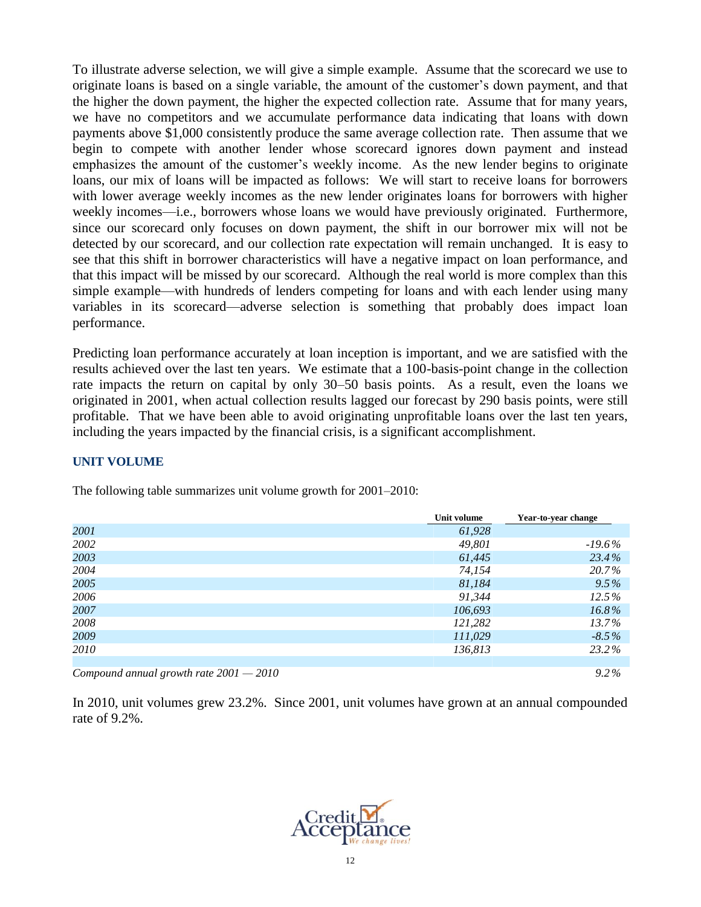To illustrate adverse selection, we will give a simple example. Assume that the scorecard we use to originate loans is based on a single variable, the amount of the customer's down payment, and that the higher the down payment, the higher the expected collection rate. Assume that for many years, we have no competitors and we accumulate performance data indicating that loans with down payments above \$1,000 consistently produce the same average collection rate. Then assume that we begin to compete with another lender whose scorecard ignores down payment and instead emphasizes the amount of the customer's weekly income. As the new lender begins to originate loans, our mix of loans will be impacted as follows: We will start to receive loans for borrowers with lower average weekly incomes as the new lender originates loans for borrowers with higher weekly incomes—i.e., borrowers whose loans we would have previously originated. Furthermore, since our scorecard only focuses on down payment, the shift in our borrower mix will not be detected by our scorecard, and our collection rate expectation will remain unchanged. It is easy to see that this shift in borrower characteristics will have a negative impact on loan performance, and that this impact will be missed by our scorecard. Although the real world is more complex than this simple example—with hundreds of lenders competing for loans and with each lender using many variables in its scorecard—adverse selection is something that probably does impact loan performance.

Predicting loan performance accurately at loan inception is important, and we are satisfied with the results achieved over the last ten years. We estimate that a 100-basis-point change in the collection rate impacts the return on capital by only 30–50 basis points. As a result, even the loans we originated in 2001, when actual collection results lagged our forecast by 290 basis points, were still profitable. That we have been able to avoid originating unprofitable loans over the last ten years, including the years impacted by the financial crisis, is a significant accomplishment.

### **UNIT VOLUME**

|      | Unit volume | Year-to-year change |
|------|-------------|---------------------|
| 2001 | 61,928      |                     |
| 2002 | 49,801      | $-19.6%$            |
| 2003 | 61,445      | 23.4%               |
| 2004 | 74,154      | 20.7%               |
| 2005 | 81,184      | 9.5%                |
| 2006 | 91,344      | 12.5%               |
| 2007 | 106,693     | 16.8%               |
| 2008 | 121,282     | 13.7%               |
| 2009 | 111,029     | $-8.5\%$            |
| 2010 | 136,813     | 23.2%               |
|      |             |                     |

The following table summarizes unit volume growth for 2001–2010:

*Compound annual growth rate 2001 — 2010 9.2 %*

In 2010, unit volumes grew 23.2%. Since 2001, unit volumes have grown at an annual compounded rate of 9.2%.

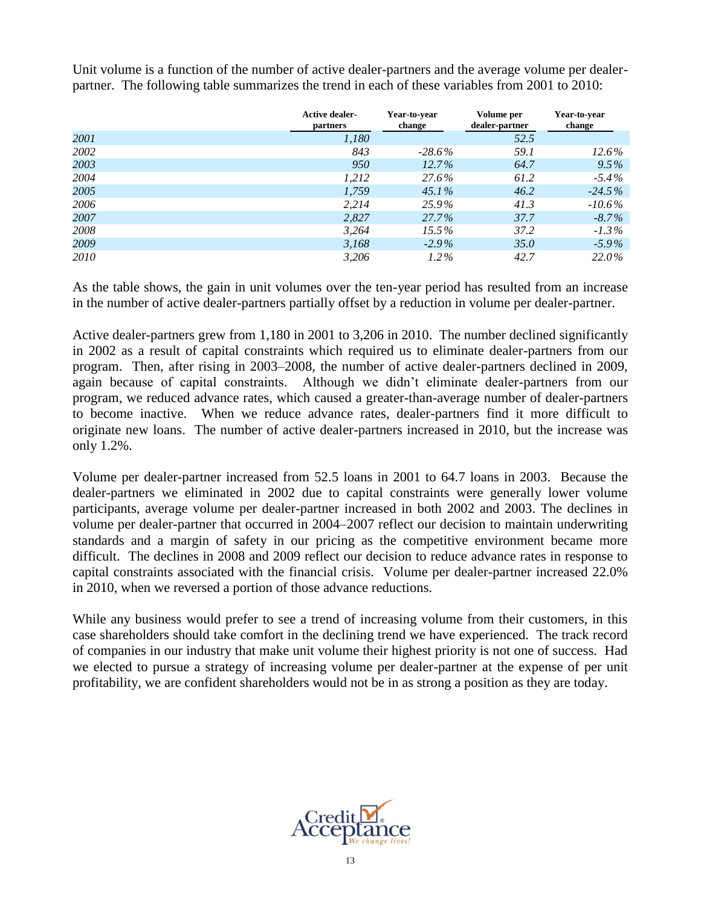Unit volume is a function of the number of active dealer-partners and the average volume per dealerpartner. The following table summarizes the trend in each of these variables from 2001 to 2010:

|      | <b>Active dealer-</b><br>partners | Year-to-year<br>change | Volume per<br>dealer-partner | Year-to-year<br>change |
|------|-----------------------------------|------------------------|------------------------------|------------------------|
| 2001 | 1,180                             |                        | 52.5                         |                        |
| 2002 | 843                               | $-28.6\%$              | 59.1                         | $12.6\%$               |
| 2003 | 950                               | $12.7\%$               | 64.7                         | $9.5\%$                |
| 2004 | 1,212                             | 27.6%                  | 61.2                         | $-5.4\%$               |
| 2005 | 1,759                             | $45.1\%$               | 46.2                         | $-24.5\%$              |
| 2006 | 2.214                             | 25.9%                  | 41.3                         | $-10.6\%$              |
| 2007 | 2,827                             | $27.7\%$               | 37.7                         | $-8.7\%$               |
| 2008 | 3,264                             | $15.5\%$               | 37.2                         | $-1.3\%$               |
| 2009 | 3,168                             | $-2.9\%$               | 35.0                         | $-5.9\%$               |
| 2010 | 3,206                             | $1.2\%$                | 42.7                         | 22.0%                  |

As the table shows, the gain in unit volumes over the ten-year period has resulted from an increase in the number of active dealer-partners partially offset by a reduction in volume per dealer-partner.

Active dealer-partners grew from 1,180 in 2001 to 3,206 in 2010. The number declined significantly in 2002 as a result of capital constraints which required us to eliminate dealer-partners from our program. Then, after rising in 2003–2008, the number of active dealer-partners declined in 2009, again because of capital constraints. Although we didn't eliminate dealer-partners from our program, we reduced advance rates, which caused a greater-than-average number of dealer-partners to become inactive. When we reduce advance rates, dealer-partners find it more difficult to originate new loans. The number of active dealer-partners increased in 2010, but the increase was only 1.2%.

Volume per dealer-partner increased from 52.5 loans in 2001 to 64.7 loans in 2003. Because the dealer-partners we eliminated in 2002 due to capital constraints were generally lower volume participants, average volume per dealer-partner increased in both 2002 and 2003. The declines in volume per dealer-partner that occurred in 2004–2007 reflect our decision to maintain underwriting standards and a margin of safety in our pricing as the competitive environment became more difficult. The declines in 2008 and 2009 reflect our decision to reduce advance rates in response to capital constraints associated with the financial crisis. Volume per dealer-partner increased 22.0% in 2010, when we reversed a portion of those advance reductions.

While any business would prefer to see a trend of increasing volume from their customers, in this case shareholders should take comfort in the declining trend we have experienced. The track record of companies in our industry that make unit volume their highest priority is not one of success. Had we elected to pursue a strategy of increasing volume per dealer-partner at the expense of per unit profitability, we are confident shareholders would not be in as strong a position as they are today.

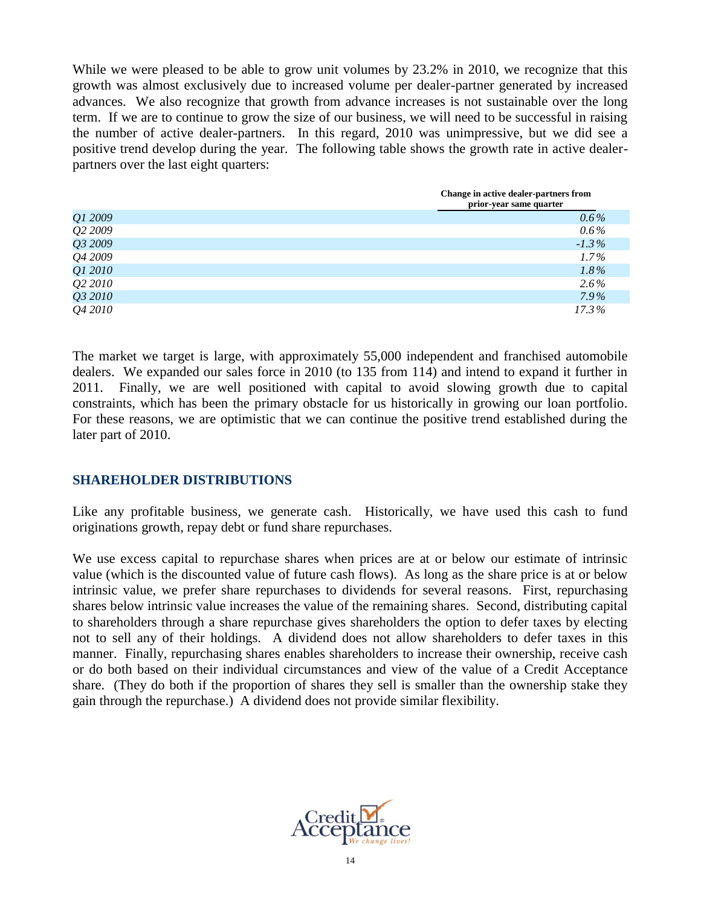While we were pleased to be able to grow unit volumes by 23.2% in 2010, we recognize that this growth was almost exclusively due to increased volume per dealer-partner generated by increased advances. We also recognize that growth from advance increases is not sustainable over the long term. If we are to continue to grow the size of our business, we will need to be successful in raising the number of active dealer-partners. In this regard, 2010 was unimpressive, but we did see a positive trend develop during the year. The following table shows the growth rate in active dealerpartners over the last eight quarters:

|         | Change in active dealer-partners from<br>prior-year same quarter |
|---------|------------------------------------------------------------------|
| Q1 2009 | $0.6\%$                                                          |
| Q2 2009 | $0.6\%$                                                          |
| Q3 2009 | $-1.3\%$                                                         |
| Q4 2009 | $1.7\%$                                                          |
| Q1 2010 | $1.8\%$                                                          |
| Q2 2010 | $2.6\%$                                                          |
| Q3 2010 | 7.9%                                                             |
| Q4 2010 | $17.3\%$                                                         |

The market we target is large, with approximately 55,000 independent and franchised automobile dealers. We expanded our sales force in 2010 (to 135 from 114) and intend to expand it further in 2011. Finally, we are well positioned with capital to avoid slowing growth due to capital constraints, which has been the primary obstacle for us historically in growing our loan portfolio. For these reasons, we are optimistic that we can continue the positive trend established during the later part of 2010.

### **SHAREHOLDER DISTRIBUTIONS**

Like any profitable business, we generate cash. Historically, we have used this cash to fund originations growth, repay debt or fund share repurchases.

We use excess capital to repurchase shares when prices are at or below our estimate of intrinsic value (which is the discounted value of future cash flows). As long as the share price is at or below intrinsic value, we prefer share repurchases to dividends for several reasons. First, repurchasing shares below intrinsic value increases the value of the remaining shares. Second, distributing capital to shareholders through a share repurchase gives shareholders the option to defer taxes by electing not to sell any of their holdings. A dividend does not allow shareholders to defer taxes in this manner. Finally, repurchasing shares enables shareholders to increase their ownership, receive cash or do both based on their individual circumstances and view of the value of a Credit Acceptance share. (They do both if the proportion of shares they sell is smaller than the ownership stake they gain through the repurchase.) A dividend does not provide similar flexibility.

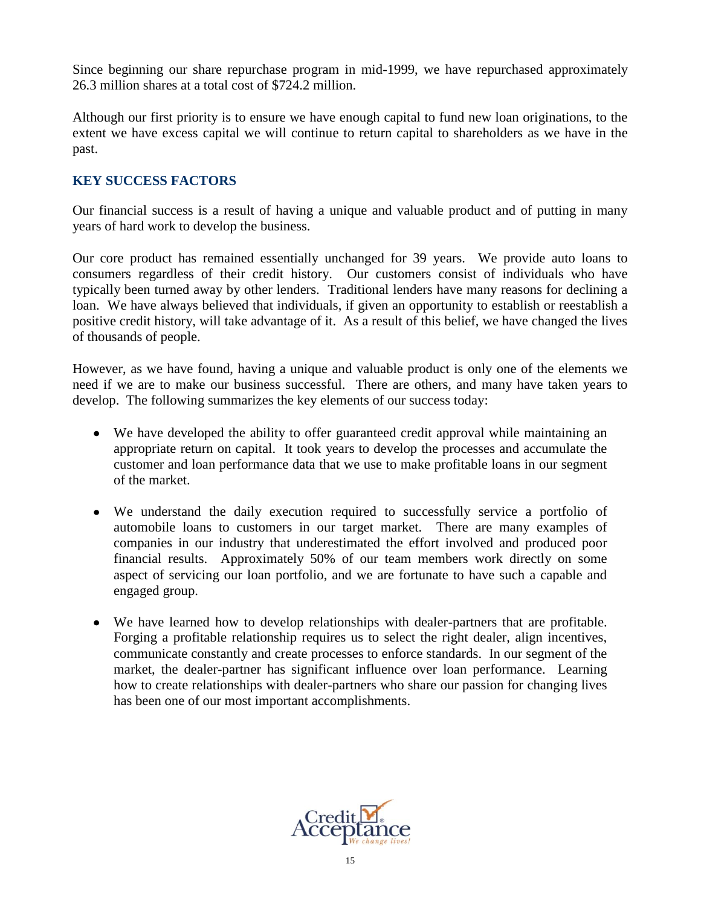Since beginning our share repurchase program in mid-1999, we have repurchased approximately 26.3 million shares at a total cost of \$724.2 million.

Although our first priority is to ensure we have enough capital to fund new loan originations, to the extent we have excess capital we will continue to return capital to shareholders as we have in the past.

## **KEY SUCCESS FACTORS**

Our financial success is a result of having a unique and valuable product and of putting in many years of hard work to develop the business.

Our core product has remained essentially unchanged for 39 years. We provide auto loans to consumers regardless of their credit history. Our customers consist of individuals who have typically been turned away by other lenders. Traditional lenders have many reasons for declining a loan. We have always believed that individuals, if given an opportunity to establish or reestablish a positive credit history, will take advantage of it. As a result of this belief, we have changed the lives of thousands of people.

However, as we have found, having a unique and valuable product is only one of the elements we need if we are to make our business successful. There are others, and many have taken years to develop. The following summarizes the key elements of our success today:

- We have developed the ability to offer guaranteed credit approval while maintaining an appropriate return on capital. It took years to develop the processes and accumulate the customer and loan performance data that we use to make profitable loans in our segment of the market.
- We understand the daily execution required to successfully service a portfolio of automobile loans to customers in our target market. There are many examples of companies in our industry that underestimated the effort involved and produced poor financial results. Approximately 50% of our team members work directly on some aspect of servicing our loan portfolio, and we are fortunate to have such a capable and engaged group.
- We have learned how to develop relationships with dealer-partners that are profitable. Forging a profitable relationship requires us to select the right dealer, align incentives, communicate constantly and create processes to enforce standards. In our segment of the market, the dealer-partner has significant influence over loan performance. Learning how to create relationships with dealer-partners who share our passion for changing lives has been one of our most important accomplishments.

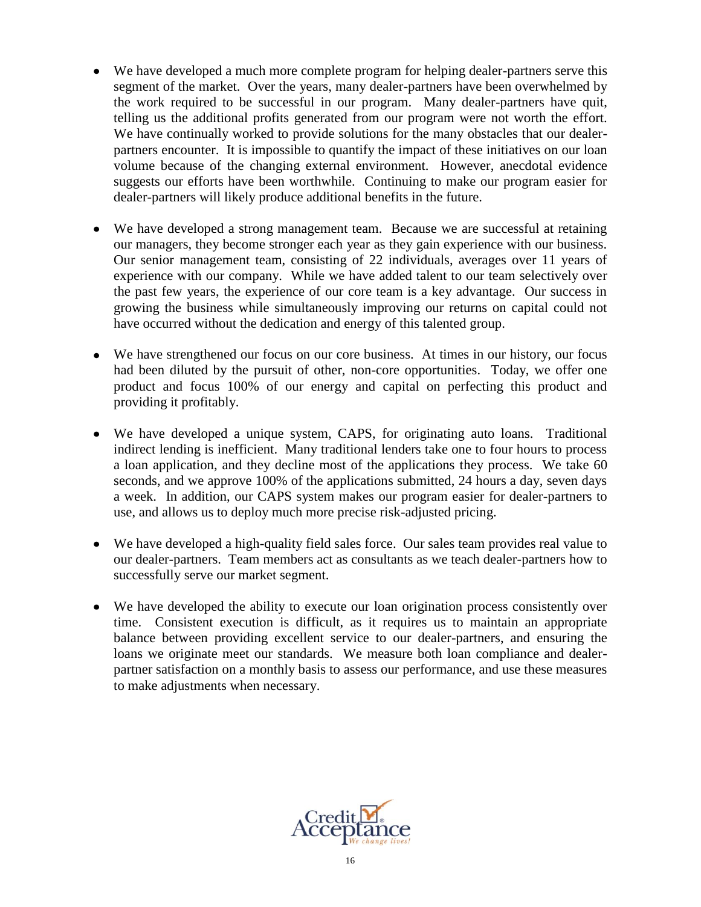- We have developed a much more complete program for helping dealer-partners serve this segment of the market. Over the years, many dealer-partners have been overwhelmed by the work required to be successful in our program. Many dealer-partners have quit, telling us the additional profits generated from our program were not worth the effort. We have continually worked to provide solutions for the many obstacles that our dealerpartners encounter. It is impossible to quantify the impact of these initiatives on our loan volume because of the changing external environment. However, anecdotal evidence suggests our efforts have been worthwhile. Continuing to make our program easier for dealer-partners will likely produce additional benefits in the future.
- We have developed a strong management team. Because we are successful at retaining our managers, they become stronger each year as they gain experience with our business. Our senior management team, consisting of 22 individuals, averages over 11 years of experience with our company. While we have added talent to our team selectively over the past few years, the experience of our core team is a key advantage. Our success in growing the business while simultaneously improving our returns on capital could not have occurred without the dedication and energy of this talented group.
- We have strengthened our focus on our core business. At times in our history, our focus had been diluted by the pursuit of other, non-core opportunities. Today, we offer one product and focus 100% of our energy and capital on perfecting this product and providing it profitably.
- We have developed a unique system, CAPS, for originating auto loans. Traditional indirect lending is inefficient. Many traditional lenders take one to four hours to process a loan application, and they decline most of the applications they process. We take 60 seconds, and we approve 100% of the applications submitted, 24 hours a day, seven days a week. In addition, our CAPS system makes our program easier for dealer-partners to use, and allows us to deploy much more precise risk-adjusted pricing.
- We have developed a high-quality field sales force. Our sales team provides real value to our dealer-partners. Team members act as consultants as we teach dealer-partners how to successfully serve our market segment.
- We have developed the ability to execute our loan origination process consistently over time. Consistent execution is difficult, as it requires us to maintain an appropriate balance between providing excellent service to our dealer-partners, and ensuring the loans we originate meet our standards. We measure both loan compliance and dealerpartner satisfaction on a monthly basis to assess our performance, and use these measures to make adjustments when necessary.

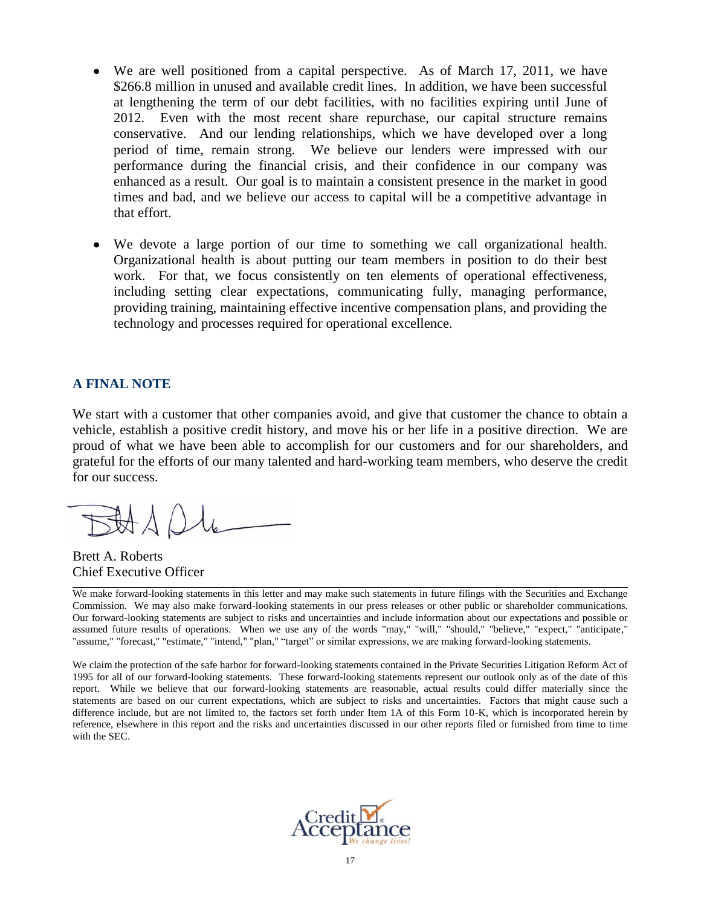- We are well positioned from a capital perspective. As of March 17, 2011, we have \$266.8 million in unused and available credit lines. In addition, we have been successful at lengthening the term of our debt facilities, with no facilities expiring until June of 2012. Even with the most recent share repurchase, our capital structure remains conservative. And our lending relationships, which we have developed over a long period of time, remain strong. We believe our lenders were impressed with our performance during the financial crisis, and their confidence in our company was enhanced as a result. Our goal is to maintain a consistent presence in the market in good times and bad, and we believe our access to capital will be a competitive advantage in that effort.
- We devote a large portion of our time to something we call organizational health. Organizational health is about putting our team members in position to do their best work. For that, we focus consistently on ten elements of operational effectiveness, including setting clear expectations, communicating fully, managing performance, providing training, maintaining effective incentive compensation plans, and providing the technology and processes required for operational excellence.

### **A FINAL NOTE**

We start with a customer that other companies avoid, and give that customer the chance to obtain a vehicle, establish a positive credit history, and move his or her life in a positive direction. We are proud of what we have been able to accomplish for our customers and for our shareholders, and grateful for the efforts of our many talented and hard-working team members, who deserve the credit for our success.

Brett A. Roberts Chief Executive Officer

We make forward-looking statements in this letter and may make such statements in future filings with the Securities and Exchange Commission. We may also make forward-looking statements in our press releases or other public or shareholder communications. Our forward-looking statements are subject to risks and uncertainties and include information about our expectations and possible or assumed future results of operations. When we use any of the words "may," "will," "should," "believe," "expect," "anticipate," "assume," "forecast," "estimate," "intend," "plan," "target" or similar expressions, we are making forward-looking statements.

We claim the protection of the safe harbor for forward-looking statements contained in the Private Securities Litigation Reform Act of 1995 for all of our forward-looking statements. These forward-looking statements represent our outlook only as of the date of this report. While we believe that our forward-looking statements are reasonable, actual results could differ materially since the statements are based on our current expectations, which are subject to risks and uncertainties. Factors that might cause such a difference include, but are not limited to, the factors set forth under Item 1A of this Form 10-K, which is incorporated herein by reference, elsewhere in this report and the risks and uncertainties discussed in our other reports filed or furnished from time to time with the SEC.

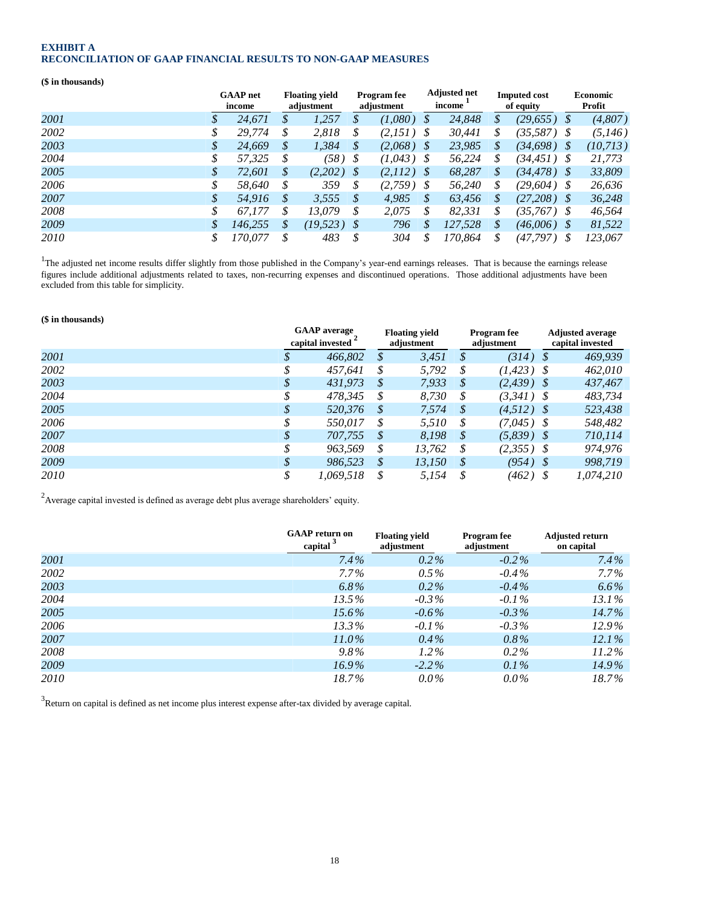#### **EXHIBIT A RECONCILIATION OF GAAP FINANCIAL RESULTS TO NON-GAAP MEASURES**

#### **(\$ in thousands)**

|      |    | <b>GAAP</b> net<br>income |    | <b>Floating yield</b><br>adjustment |                   | <b>Program</b> fee<br>adjustment |   | <b>Adjusted net</b><br>income |    | <b>Imputed cost</b><br>of equity |   | <b>Economic</b><br>Profit |
|------|----|---------------------------|----|-------------------------------------|-------------------|----------------------------------|---|-------------------------------|----|----------------------------------|---|---------------------------|
| 2001 | S  | 24,671                    | S  | 1,257                               |                   | (1,080)                          | S | 24,848                        | \$ | (29, 655)                        |   | (4,807)                   |
| 2002 | \$ | 29.774                    | \$ | 2,818                               | \$                | $(2,151)$ \$                     |   | 30,441                        | \$ | $(35,587)$ \$                    |   | (5,146)                   |
| 2003 | \$ | 24,669                    | S  | 1,384                               | \$                | $(2,068)$ \$                     |   | 23,985                        | \$ | $(34,698)$ \$                    |   | (10, 713)                 |
| 2004 | \$ | 57.325                    |    | $(58)$ \$                           |                   | $(1,043)$ \$                     |   | 56,224                        | \$ | $(34, 451)$ \$                   |   | 21,773                    |
| 2005 | \$ | 72.601                    | S  | $(2,202)$ \$                        |                   | $(2,112)$ \$                     |   | 68,287                        | \$ | $(34, 478)$ \$                   |   | 33,809                    |
| 2006 | \$ | 58.640                    | S  | 359                                 | S                 | $(2,759)$ \$                     |   | 56,240                        | \$ | $(29,604)$ \$                    |   | 26,636                    |
| 2007 | S  | 54,916                    | S  | 3,555                               | $\mathcal{S}_{0}$ | 4,985                            | S | 63,456                        | S  | $(27,208)$ \$                    |   | 36,248                    |
| 2008 | \$ | 67.177                    | S  | 13.079                              | $\mathcal{S}$     | 2,075                            |   | 82,331                        | \$ | $(35,767)$ \$                    |   | 46,564                    |
| 2009 |    | 146.255                   | S  | $(19, 523)$ \$                      |                   | 796                              | S | 127.528                       | \$ | $(46,006)$ \$                    |   | 81,522                    |
| 2010 | \$ | 170.077                   |    | 483                                 | S                 | 304                              | S | 170.864                       | \$ | (47,797)                         | S | 123,067                   |

<sup>1</sup>The adjusted net income results differ slightly from those published in the Company's year-end earnings releases. That is because the earnings release figures include additional adjustments related to taxes, non-recurring expenses and discontinued operations. Those additional adjustments have been excluded from this table for simplicity.

#### **(\$ in thousands)**

|      | <b>GAAP</b> average<br>capital invested |               | <b>Floating yield</b><br>adjustment |               | <b>Program</b> fee<br>adjustment | <b>Adjusted average</b><br>capital invested |           |  |
|------|-----------------------------------------|---------------|-------------------------------------|---------------|----------------------------------|---------------------------------------------|-----------|--|
| 2001 | 466,802                                 | \$            | 3,451                               | \$            | (314)                            | - \$                                        | 469,939   |  |
| 2002 | 457,641                                 | \$            | 5,792                               | \$            | $(1, 423)$ \$                    |                                             | 462,010   |  |
| 2003 | \$<br>431,973                           | \$            | 7,933                               | \$            | $(2,439)$ \$                     |                                             | 437,467   |  |
| 2004 | 478.345                                 | \$            | 8.730                               | S             | $(3,341)$ \$                     |                                             | 483.734   |  |
| 2005 | \$<br>520,376                           | S             | 7,574                               | \$            | $(4.512)$ \$                     |                                             | 523,438   |  |
| 2006 | 550.017                                 | \$            | 5,510                               | S             | $(7,045)$ \$                     |                                             | 548,482   |  |
| 2007 | \$<br>707,755                           | S             | 8,198                               | S             | $(5,839)$ \$                     |                                             | 710,114   |  |
| 2008 | 963.569                                 | \$            | 13,762                              | S             | $(2,355)$ \$                     |                                             | 974.976   |  |
| 2009 | \$<br>986.523                           | $\mathcal{S}$ | 13,150                              | $\mathcal{S}$ | $(954)$ \$                       |                                             | 998.719   |  |
| 2010 | 1.069.518                               | \$            | 5,154                               | -\$           | $(462)$ \$                       |                                             | 1,074,210 |  |

<sup>2</sup> Average capital invested is defined as average debt plus average shareholders' equity.

|      | <b>GAAP</b> return on<br>capital <sup>3</sup> | <b>Floating yield</b><br>adjustment | <b>Program</b> fee<br>adjustment | <b>Adjusted return</b><br>on capital |
|------|-----------------------------------------------|-------------------------------------|----------------------------------|--------------------------------------|
| 2001 | $7.4\%$                                       | $0.2\%$                             | $-0.2\%$                         | $7.4\%$                              |
| 2002 | $7.7\%$                                       | $0.5\%$                             | $-0.4\%$                         | $7.7\%$                              |
| 2003 | $6.8\%$                                       | $0.2\%$                             | $-0.4\%$                         | $6.6\%$                              |
| 2004 | 13.5%                                         | $-0.3\%$                            | $-0.1\%$                         | $13.1\%$                             |
| 2005 | $15.6\%$                                      | $-0.6\%$                            | $-0.3\%$                         | $14.7\%$                             |
| 2006 | $13.3\%$                                      | $-0.1\%$                            | $-0.3\%$                         | $12.9\%$                             |
| 2007 | $11.0\%$                                      | $0.4\%$                             | $0.8\%$                          | $12.1\%$                             |
| 2008 | $9.8\%$                                       | $1.2\%$                             | $0.2\%$                          | $11.2\%$                             |
| 2009 | $16.9\%$                                      | $-2.2\%$                            | $0.1\%$                          | 14.9%                                |
| 2010 | 18.7%                                         | $0.0\%$                             | $0.0\%$                          | 18.7%                                |

 $3$ Return on capital is defined as net income plus interest expense after-tax divided by average capital.